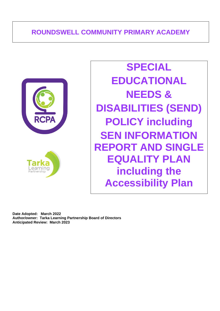# **ROUNDSWELL COMMUNITY PRIMARY ACADEMY**



**SPECIAL EDUCATIONAL NEEDS & DISABILITIES (SEND) POLICY including SEN INFORMATION REPORT AND SINGLE EQUALITY PLAN including the Accessibility Plan**

**Date Adopted: March 2022 Author/owner: Tarka Learning Partnership Board of Directors Anticipated Review: March 2023**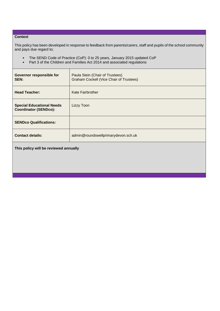### **Context**

This policy has been developed in response to feedback from parents/carers, staff and pupils of the school community and pays due regard to;

- The SEND Code of Practice (CoP): 0 to 25 years, January 2015 updated CoP<br>• Part 3 of the Children and Families Act 2014 and associated regulations
- Part 3 of the Children and Families Act 2014 and associated regulations

| <b>Governor responsible for</b><br>SEN:                          | Paula Stein (Chair of Trustees)<br>Graham Cockell (Vice Chair of Trustees) |  |
|------------------------------------------------------------------|----------------------------------------------------------------------------|--|
| <b>Head Teacher:</b>                                             | Kate Fairbrother                                                           |  |
| <b>Special Educational Needs</b><br><b>Coordinator (SENDco):</b> | Lizzy Toon                                                                 |  |
| <b>SENDco Qualifications:</b>                                    |                                                                            |  |
| <b>Contact details:</b>                                          | admin@roundswellprimarydevon.sch.uk                                        |  |
| This policy will be reviewed annually                            |                                                                            |  |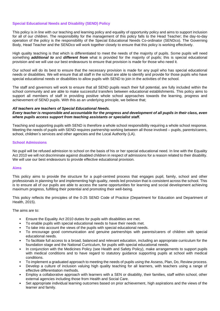# **Special Educational Needs and Disability (SEND) Policy**

This policy is in line with our teaching and learning policy and equality of opportunity policy and aims to support inclusion for all of our children. The responsibility for the management of this policy falls to the Head Teacher; the day-to-day operation of the policy is the responsibility of the Special Educational Needs Co-ordinator (SENDco). The Governing Body, Head Teacher and the SENDco will work together closely to ensure that this policy is working effectively.

High quality teaching is that which is differentiated to meet the needs of the majority of pupils. Some pupils will need something *additional to* and *different from* what is provided for the majority of pupils; this is special educational provision and we will use our best endeavours to ensure that provision is made for those who need it.

Our school will do its best to ensure that the necessary provision is made for any pupil who has special educational needs or disabilities. We will ensure that all staff in the school are able to identify and provide for those pupils who have special educational needs or disabilities to allow pupils with SEND to join in the activities of the school.

The staff and governors will work to ensure that all SEND pupils reach their full potential, are fully included within the school community and are able to make successful transfers between educational establishments. This policy aims to support all members of staff in providing positive whole school approaches towards the learning, progress and achievement of SEND pupils. With this as an underlying principle, we believe that;

#### *All teachers are teachers of Special Educational Needs.*

### *Every teacher is responsible and accountable for the progress and development of all pupils in their class, even where pupils access support from teaching assistants or specialist staff.*

Teaching and supporting pupils with SEND is therefore a whole school responsibility requiring a whole school response. Meeting the needs of pupils with SEND requires partnership working between all those involved – pupils, parents/carers, school, children's services and other agencies and the Local Authority (LA).

### **School Admissions**

No pupil will be refused admission to school on the basis of his or her special educational need. In line with the Equality Act 2010 we will not discriminate against disabled children in respect of admissions for a reason related to their disability. We will use our best endeavours to provide effective educational provision.

### **Aims**

This policy aims to provide the structure for a pupil-centred process that engages pupil, family, school and other professionals in planning for and implementing high quality, needs led provision that is consistent across the school. This is to ensure all of our pupils are able to access the same opportunities for learning and social development achieving maximum progress, fulfilling their potential and promoting their well-being.

This policy reflects the principles of the 0-25 SEND Code of Practice (Department for Education and Department of Health, 2015).

The aims are to:

- Ensure the Equality Act 2010 duties for pupils with disabilities are met.
- To enable pupils with special educational needs to have their needs met.
- To take into account the views of the pupils with special educational needs.
- To encourage good communication and genuine partnerships with parents/carers of children with special educational needs.
- To facilitate full access to a broad, balanced and relevant education, including an appropriate curriculum for the foundation stage and the National Curriculum, for pupils with special educational needs.
- In conjunction with the Medicines Policy (see Health and Safety Policy), make arrangements to support pupils with medical conditions and to have regard to statutory guidance supporting pupils at school with medical conditions.
- To implement a graduated approach to meeting the needs of pupils using the Assess, Plan, Do, Review process.
- Develop a culture of inclusion valuing high quality teaching for all learners, with teachers using a range of effective differentiation methods.
- Employ a collaborative approach with learners with a SEN or disability, their families, staff within school, other external agencies including those from Health and Social Care.
- Set appropriate individual learning outcomes based on prior achievement, high aspirations and the views of the learner and family.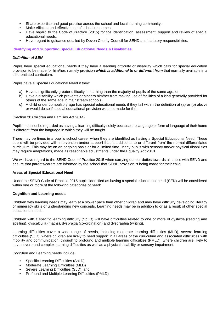- Share expertise and good practice across the school and local learning community.
- Make efficient and effective use of school resources.
- Have regard to the Code of Practice (2015) for the identification, assessment, support and review of special educational needs.
- Have regard to guidance detailed by Devon County Council for SEND and statutory responsibilities.

**Identifying and Supporting Special Educational Needs & Disabilities**

# *Definition of SEN*

Pupils have special educational needs if they have a learning difficulty or disability which calls for special education provision to be made for him/her, namely provision *which is additional to or different from* that normally available in a differentiated curriculum.

Pupils have a Special Educational Need if they:

- a) Have a significantly greater difficulty in learning than the majority of pupils of the same age, or;
- b) Have a disability which prevents or hinders him/her from making use of facilities of a kind generally provided for others of the same age in mainstream schools.
- c) A child under compulsory age has special educational needs if they fall within the definition at (a) or (b) above or would do so if special educational provision was not made for them

### (Section 20 Children and Families Act 2014)

Pupils must not be regarded as having a learning difficulty solely because the language or form of language of their home is different from the language in which they will be taught.

There may be times in a pupil's school career when they are identified as having a Special Educational Need. These pupils will be provided with intervention and/or support that is 'additional to or different from' the normal differentiated curriculum. This may be on an ongoing basis or for a limited time. Many pupils with sensory and/or physical disabilities may require adaptations, made as reasonable adjustments under the Equality Act 2010.

We will have regard to the SEND Code of Practice 2015 when carrying out our duties towards all pupils with SEND and ensure that parents/carers are informed by the school that SEND provision is being made for their child.

# **Areas of Special Educational Need**

Under the SEND Code of Practice 2015 pupils identified as having a special educational need (SEN) will be considered within one or more of the following categories of need:

### **Cognition and Learning needs**

Children with learning needs may learn at a slower pace than other children and may have difficulty developing literacy or numeracy skills or understanding new concepts. Learning needs may be in addition to or as a result of other special educational needs.

Children with a specific learning difficulty (SpLD) will have difficulties related to one or more of dyslexia (reading and spelling), dyscalculia (maths), dyspraxia (co-ordination) and dysgraphia (writing).

Learning difficulties cover a wide range of needs, including moderate learning difficulties (MLD), severe learning difficulties (SLD), where children are likely to need support in all areas of the curriculum and associated difficulties with mobility and communication, through to profound and multiple learning difficulties (PMLD), where children are likely to have severe and complex learning difficulties as well as a physical disability or sensory impairment.

Cognition and Learning needs include:

- Specific Learning Difficulties (SpLD)
- Moderate Learning Difficulties (MLD)
- Severe Learning Difficulties (SLD), and
- Profound and Multiple Learning Difficulties (PMLD)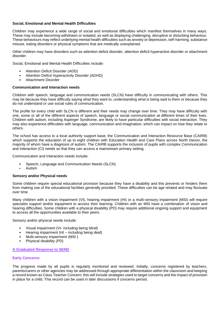# **Social, Emotional and Mental Health Difficulties**

Children may experience a wide range of social and emotional difficulties which manifest themselves in many ways. These may include becoming withdrawn or isolated, as well as displaying challenging, disruptive or disturbing behaviour. These behaviours may reflect underlying mental health difficulties such as anxiety or depression, self-harming, substance misuse, eating disorders or physical symptoms that are medically unexplained.

Other children may have disorders such as attention deficit disorder, attention deficit hyperactive disorder or attachment disorder.

Social, Emotional and Mental Health Difficulties include:

- Attention Deficit Disorder (ADD)
- Attention Deficit Hyperactivity Disorder (ADHD)
- Attachment Disorder

# **Communication and Interaction needs**

Children with speech, language and communication needs (SLCN) have difficulty in communicating with others. This may be because they have difficulty saying what they want to, understanding what is being said to them or because they do not understand or use social rules of communication.

The profile for every child with SLCN is different and their needs may change over time. They may have difficulty with one, some or all of the different aspects of speech, language or social communication at different times of their lives. Children with autism, including Asperger Syndrome, are likely to have particular difficulties with social interaction. They may also experience difficulties with language, communication and imagination, which can impact on how they relate to others.

The school has access to a local authority support base, the Communication and Interaction Resource Base (CAIRB) which supports the education of up to eight children with Education Health and Care Plans across North Devon, the majority of whom have a diagnosis of autism. The CAIRB supports the inclusion of pupils with complex Communication and Interaction (CI) needs so that they can access a mainstream primary setting.

Communication and Interaction needs include:

- Speech, Language and Communication Needs (SLCN)
- Autism

# **Sensory and/or Physical needs**

Some children require special educational provision because they have a disability and this prevents or hinders them from making use of the educational facilities generally provided. These difficulties can be age related and may fluctuate over time.

Many children with a vision impairment (VI), hearing impairment (HI) or a multi-sensory impairment (MSI) will require specialist support and/or equipment to access their learning. Children with an MSI have a combination of vision and hearing difficulties. Some children with a physical disability (PD) may require additional ongoing support and equipment to access all the opportunities available to their peers.

Sensory and/or physical needs include:

- Visual impairment (VI- including being blind)
- Hearing impairment (HI including being deaf)
- Multi-sensory impairment (MSI )
- Physical disability (PD)

# **A Graduated Response to SEND**

# **Early Concerns**

The progress made by all pupils is regularly monitored and reviewed. Initially, concerns registered by teachers, parents/carers or other agencies may be addressed through appropriate differentiation within the classroom and keeping a record known as Class Teacher Concern; this will include strategies used to target concerns and the impact of provision in place for a child. This record can be used in later discussions if concerns persist.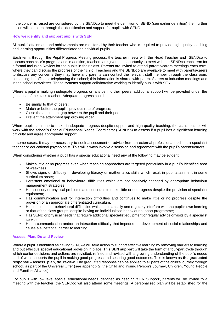If the concerns raised are considered by the SENDco to meet the definition of SEND (see earlier definition) then further action will be taken through the identification and support for pupils with SEND.

### **How we identify and support pupils with SEN**

All pupils' attainment and achievements are monitored by their teacher who is required to provide high quality teaching and learning opportunities differentiated for individual pupils.

Each term, through the Pupil Progress Meeting process, the teacher meets with the Head Teacher and SENDco to discuss each child's progress and in addition, teachers are given the opportunity to meet with the SENDco each term for a formal Inclusion Review for the pupils in their class. Parents are invited to attend parents/carers meetings each term, where they can discuss the progress of their child. Teachers and the SENDco are available to meet with parents/carers to discuss any concerns they may have and parents can contact the relevant staff member through the classroom, contacting the office or telephoning the school; this information is shared with parents/carers at induction meetings and in the school newsletter. These systems support collaborative working to identify pupils with SEN.

Where a pupil is making inadequate progress or falls behind their peers, additional support will be provided under the guidance of the class teacher. Adequate progress could:

- Be similar to that of peers;
- Match or better the pupils' previous rate of progress;
- Close the attainment gap between the pupil and their peers;
- Prevent the attainment gap growing wider.

Where pupils continue to make inadequate progress despite support and high-quality teaching, the class teacher will work with the school's Special Educational Needs Coordinator (SENDco) to assess if a pupil has a significant learning difficulty and agree appropriate support.

In some cases, it may be necessary to seek assessment or advice from an external professional such as a specialist teacher or educational psychologist. This will always involve discussion and agreement with the pupil's parents/carers.

When considering whether a pupil has a special educational need any of the following may be evident:

- Makes little or no progress even when teaching approaches are targeted particularly in a pupil's identified area of weakness;
- Shows signs of difficulty in developing literacy or mathematics skills which result in poor attainment in some curriculum areas;
- Persistent emotional or behavioural difficulties which are not positively changed by appropriate behaviour management strategies;
- Has sensory or physical problems and continues to make little or no progress despite the provision of specialist equipment;
- Has communication and /or interaction difficulties and continues to make little or no progress despite the provision of an appropriate differentiated curriculum.
- Has emotional or behavioural difficulties which substantially and regularly interfere with the pupil's own learning or that of the class groups, despite having an individualised behaviour support programme;
- Has SEND or physical needs that require additional specialist equipment or regular advice or visits by a specialist service;
- Has a communication and/or an interaction difficulty that impedes the development of social relationships and cause a substantial barrier to learning.

### **Assess, Plan, Do and Review**

Where a pupil is identified as having SEN, we will take action to support effective learning by removing barriers to learning and put effective special educational provision in place. This **SEN support** will take the form of a four-part cycle through which earlier decisions and actions are revisited, refined and revised with a growing understanding of the pupil's needs and of what supports the pupil in making good progress and securing good outcomes. This is known as **the graduated response – assess, plan, do, review.** The graduated response can be applied to all parts of the child's journey through school, as part of the Universal Offer (see appendix 2, the Child and Young Person's Journey, Children, Young People and Families Alliance)

For pupils with low level special educational needs identified as needing 'SEN Support', parents will be invited to a meeting with the teacher; the SENDco will also attend some meetings. A personalised plan will be established for the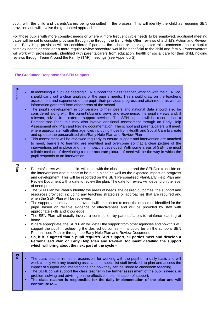pupil, with the child and parents/carers being consulted in the process. This will identify the child as requiring SEN provision and will involve the graduated approach.

For those pupils with more complex needs or where a more frequent cycle needs to be employed, additional meeting dates will be set to consider provision through the through the Early Help Offer, reviews of a child's Action and Review' plan. Early Help provision will be considered if parents, the school or other agencies raise concerns about a pupil's complex needs or consider a more regular review procedure would be beneficial to the child and family. Parents/carers will work with professionals, identified with parents/carers from education, health or social care for their child, holding reviews through Team Around the Family (TAF) meetings (see Appendix 2).

### **The Graduated Response for SEN Support**

- **Assess** • In identifying a pupil as needing SEN support the class teacher, working with the SENDco, should carry out a clear analysis of the pupil's needs. This should draw on the teacher's assessment and experience of the pupil, their previous progress and attainment, as well as information gathered from other areas of the school.
	- The pupil's development in comparison to their peers and national data should also be considered along with the parent's/carer's views and experience, the pupil's views and, if relevant, advice from external support services. The SEN support will be recorded on a Personalised Plan; this may also involve additional assessment through an Early Help Assessment and Plan and Review documentation. The school and parents/carers will meet, where appropriate, with other agencies including those from Health and Social Care to create and up-date the personalised plan/Early Help Plan and Review Plan
	- This assessment will be reviewed regularly to ensure support and intervention are matched to need, barriers to learning are identified and overcome so that a clear picture of the interventions put in place and their impact is developed. With some areas of SEN, the most reliable method of developing a more accurate picture of need will be the way in which the pupil responds to an intervention.

**Plan**

- Parents/carers with their child, will meet with the class teacher and the SENDco to decide on the interventions and support to be put in place as well as the expected impact on progress and development. This will be recorded on the SEN Personalised Plan/Early Help Plan and Review Document with a date to review the plan. The date for review will depend on the level of need present.
- The SEN Plan will clearly identify the areas of needs, the desired outcomes, the support and resources provided, including any teaching strategies or approaches that are required and when the SEN Plan will be reviewed.
- The support and intervention provided will be selected to meet the outcomes identified for the pupil, based on reliable evidence of effectiveness and will be provided by staff with appropriate skills and knowledge.
- The SEN Plan will usually involve a contribution by parents/carers to reinforce learning at home.
- Where appropriate, the SEN Plan will detail the support from other agencies and how this will support the pupil in achieving the desired outcomes – this could be on the school's SEN Personalised Plan or through the Early Help Plan and Review Document.
- **So, if it is agreed that a pupil requires SEN support, all parties meet and develop a Personalised Plan or Early Help Plan and Review Document detailing the support which will bring about the next part of the cycle –**
- **Do** The class teacher remains responsible for working with the pupil on a daily basis and will work closely with any teaching assistants or specialist staff involved, to plan and assess the impact of support and interventions and how they can be linked to classroom teaching.
	- The SENDco will support the class teacher in the further assessment of the pupil's needs, in problem solving and advising on the effective implementation of support.
	- **The class teacher is responsible for the daily implementation of the plan and will contribute to –**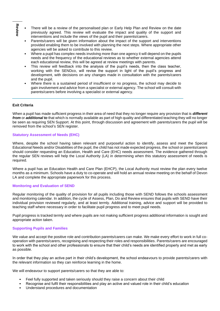- **Review** • There will be a review of the personalised plan or Early Help Plan and Review on the date previously agreed. This review will evaluate the impact and quality of the support and interventions and include the views of the pupil and their parents/carers.
	- Parents/carers will be given information about the impact of the support and interventions provided enabling them to be involved with planning the next steps. Where appropriate other agencies will be asked to contribute to this review.
	- Where a pupil has complex needs involving more than one agency it will depend on the pupils needs and the frequency of the educational reviews as to whether external agencies attend each educational review, this will be agreed at review meetings with parents.
	- This review will feedback into the analysis of the pupil's needs, then the class teacher, working with the SENDco, will revise the support in light of the pupil's progress and development, with decisions on any changes made in consultation with the parents/carers and the pupil.
	- Where there is a sustained period of insufficient or no progress, the school may decide to gain involvement and advice from a specialist or external agency. The school will consult with parents/carers before involving a specialist or external agency.

# **Exit Criteria**

When a pupil has made sufficient progress in their area of need that they no longer require any provision that is *different from* or *additional to* that which is normally available as part of high quality and differentiated teaching they will no longer be seen as requiring SEN Support. At this point, through discussion and agreement with parents/carers the pupil will be removed from the school's SEN register.

### **Statutory Assessment of Needs (EHC)**

Where, despite the school having taken relevant and purposeful action to identify, assess and meet the Special Educational Needs and/or Disabilities of the pupil, the child has not made expected progress, the school or parents/carers should consider requesting an Education, Health and Care (EHC) needs assessment. The evidence gathered through the regular SEN reviews will help the Local Authority (LA) in determining when this statutory assessment of needs is required.

Where a pupil has an Education Health and Care Plan (EHCP), the Local Authority must review the plan every twelve months as a minimum. Schools have a duty to co-operate and will hold an annual review meeting on the behalf of Devon LA and complete the appropriate paperwork for this process.

# **Monitoring and Evaluation of SEND**

Regular monitoring of the quality of provision for all pupils including those with SEND follows the schools assessment and monitoring calendar. In addition, the cycle of Assess, Plan, Do and Review ensures that pupils with SEND have their individual provision reviewed regularly, and at least termly. Additional training, advice and support will be provided to teaching staff where necessary in order to facilitate pupil progress and to meet pupil needs.

Pupil progress is tracked termly and where pupils are not making sufficient progress additional information is sought and appropriate action taken.

### **Supporting Pupils and Families**

We value and accept the positive role and contribution parents/carers can make. We make every effort to work in full cooperation with parents/carers, recognising and respecting their roles and responsibilities. Parents/carers are encouraged to work with the school and other professionals to ensure that their child's needs are identified properly and met as early as possible.

In order that they play an active part in their child's development, the school endeavours to provide parents/carers with the relevant information so they can reinforce learning in the home.

We will endeavour to support parents/carers so that they are able to:

- Feel fully supported and taken seriously should they raise a concern about their child
- Recognise and fulfil their responsibilities and play an active and valued role in their child's education
- Understand procedures and documentation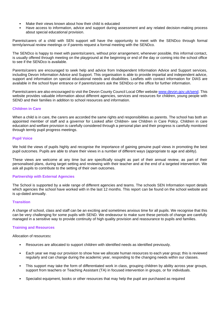- Make their views known about how their child is educated
- Have access to information, advice and support during assessment and any related decision-making process about special educational provision.

Parents/carers of a child with SEN support will have the opportunity to meet with the SENDco through formal termly/annual review meetings or if parents request a formal meeting with the SENDco.

The SENDco is happy to meet with parents/carers, without prior arrangement, whenever possible, this informal contact, is usually offered through meeting on the playground at the beginning or end of the day or coming into the school office to see if the SENDco is available.

Parents/carers are encouraged to seek help and advice from Independent Information Advice and Support services, including Devon Information Advice and Support. This organisation is able to provide impartial and independent advice, support and information on special educational needs and disabilities. Leaflets with contact information for DIAS are available in the school foyer entrance or if parents/carers ask the SENDco or the office for further information.

Parents/carers are also encouraged to visit the Devon County Council Local Offer website [www.devon.gov.uk/send.](http://www.devon.gov.uk/send) This website provides valuable information about different agencies, services and resources for children, young people with SEND and their families in addition to school resources and information.

### **Children in Care**

When a child is in care, the carers are accorded the same rights and responsibilities as parents. The school has both an appointed member of staff and a governor for Looked after Children- see Children in Care Policy. Children in care education and welfare provision is carefully considered through a personal plan and their progress is carefully monitored through termly pupil progress meetings.

### **Pupil Voice**

We hold the views of pupils highly and recognise the importance of gaining genuine pupil views in promoting the best pupil outcomes. Pupils are able to share their views in a number of different ways (appropriate to age and ability).

These views are welcome at any time but are specifically sought as part of their annual review, as part of their personalised plans, during target setting and reviewing with their teacher and at the end of a targeted intervention. We ask all pupils to contribute to the setting of their own outcomes.

### **Partnership with External Agencies**

The School is supported by a wide range of different agencies and teams. The schools SEN Information report details which agencies the school have worked with in the last 12 months. This report can be found on the school website and is up-dated annually.

### **Transition**

A change of school, class and staff can be an exciting and sometimes anxious time for all pupils. We recognise that this can be very challenging for some pupils with SEND. We endeavour to make sure these periods of change are carefully managed in a sensitive way to provide continuity of high quality provision and reassurance to pupils and families.

# **Training and Resources**

Allocation of resources**:** 

- Resources are allocated to support children with identified needs as identified previously.
- Each year we map our provision to show how we allocate human resources to each year group; this is reviewed regularly and can change during the academic year, responding to the changing needs within our classes.
- This support may take the form of differentiated work in class, grouping children by ability across year groups, support from teachers or Teaching Assistant (TA) in focused intervention in groups, or for individuals.
- Specialist equipment, books or other resources that may help the pupil are purchased as required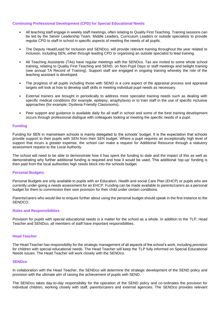## **Continuing Professional Development (CPD) for Special Educational Needs**

- All teaching staff engage in weekly staff meetings, often relating to Quality First Teaching. Training sessions can be led by the Senior Leadership Team, Middle Leaders, Curriculum Leaders or outside specialists to provide regular CPD to staff in school in specific aspects of meeting the needs of all pupils.
- The Deputy Head/Lead for Inclusion and SENDco, will provide relevant training throughout the year related to inclusion, including SEN, either through leading CPD or organising an outside specialist to lead training.
- All Teaching Assistants (TAs) have regular meetings with the SENDco. Tas are invited to some whole school training, relating to Quality First Teaching and SEND, on Non-Pupil Days or staff meetings and twilight training (see annual TA Record of Training). Support staff are engaged in ongoing training whereby the role of the teaching assistant is developed.
- The progress of all pupils including those with SEND is a core aspect of the appraisal process and appraisal targets will look at how to develop staff skills in meeting individual pupil needs as necessary.
- External trainers are brought in periodically to address more specialist training needs such as dealing with specific medical conditions (for example, epilepsy, anaphylaxis) or to train staff in the use of specific inclusive approaches (for example, Dyslexia Friendly Classrooms).
- Peer support and guidance is available daily for all staff in school and some of the best training development occurs through professional dialogue with colleagues looking at meeting the specific needs of a pupil.

### **Funding**

Funding for SEN in mainstream schools is mainly delegated to the schools' budget. It is the expectation that schools provide support to their pupils with SEN from their SEN budget. Where a pupil requires an exceptionally high level of support that incurs a greater expense, the school can make a request for Additional Resource through a statutory assessment request to the Local Authority.

The school will need to be able to demonstrate how it has spent the funding to date and the impact of this as well as demonstrating why further additional funding is required and how it would be used. This additional 'top-up' funding is then paid from the local authorities high needs block into the schools budget.

### **Personal Budgets**

Personal Budgets are only available to pupils with an Education, Health and social Care Plan (EHCP) or pupils who are currently under-going a needs assessment for an EHCP. Funding can be made available to parents/carers as a personal budget for them to commission their own provision for their child under certain conditions.

Parents/carers who would like to enquire further about using the personal budget should speak in the first instance to the SENDCO.

### **Roles and Responsibilities**

Provision for pupils with special educational needs is a matter for the school as a whole. In addition to the TLP, Head Teacher and SENDco, all members of staff have important responsibilities.

#### **Head Teacher**

The Head Teacher has responsibility for the strategic management of all aspects of the school's work, including provision for children with special educational needs. The Head Teacher will keep the TLP fully informed on Special Educational Needs issues. The Head Teacher will work closely with the SENDco.

#### **SENDco**

In collaboration with the Head Teacher, the SENDco will determine the strategic development of the SEND policy and provision with the ultimate aim of raising the achievement of pupils with SEND.

The SENDco takes day-to-day responsibility for the operation of the SEND policy and co-ordinates the provision for individual children, working closely with staff, parents/carers and external agencies. The SENDco provides relevant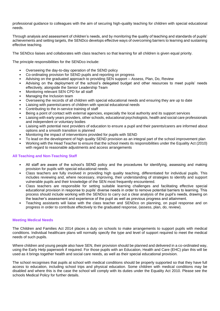professional guidance to colleagues with the aim of securing high-quality teaching for children with special educational needs.

Through analysis and assessment of children's needs, and by monitoring the quality of teaching and standards of pupils' achievements and setting targets, the SENDco develops effective ways of overcoming barriers to learning and sustaining effective teaching.

The SENDco liaises and collaborates with class teachers so that learning for all children is given equal priority.

The principle responsibilities for the SENDco include:

- Overseeing the day-to-day operation of the SEND policy
- Co-ordinating provision for SEND pupils and reporting on progress
- Advising on the graduated approach to providing SEN support Assess, Plan, Do, Review
- Advising on the deployment of the school's delegated budget and other resources to meet pupils' needs effectively, alongside the Senior Leadership Team
- Monitoring relevant SEN CPD for all staff
- Managing the Inclusion team
- Overseeing the records of all children with special educational needs and ensuring they are up to date
- Liaising with parents/carers of children with special educational needs
- Contributing to the in-service training of staff
- Being a point of contact with external agencies, especially the local authority and its support services
- Liaising with early years providers, other schools, educational psychologists, health and social care professionals and independent or voluntary bodies
- Liaising with potential next providers of education to ensure a pupil and their parents/carers are informed about options and a smooth transition is planned
- Monitoring the impact of interventions provided for pupils with SEND
- To lead on the development of high quality SEND provision as an integral part of the school improvement plan
- Working with the Head Teacher to ensure that the school meets its responsibilities under the Equality Act (2010) with regard to reasonable adjustments and access arrangements

### **All Teaching and Non-Teaching Staff**

- All staff are aware of the school's SEND policy and the procedures for identifying, assessing and making provision for pupils with special educational needs.
- Class teachers are fully involved in providing high quality teaching, differentiated for individual pupils. This includes reviewing and, where necessary, improving, their understanding of strategies to identify and support vulnerable pupils and their knowledge of the SEN most frequently encountered.
- Class teachers are responsible for setting suitable learning challenges and facilitating effective special educational provision in response to pupils' diverse needs in order to remove potential barriers to learning. This process should include working with the SENDco to carry out a clear analysis of the pupil's needs, drawing on the teacher's assessment and experience of the pupil as well as previous progress and attainment.
- Teaching assistants will liaise with the class teacher and SENDco on planning, on pupil response and on progress in order to contribute effectively to the graduated response, (assess, plan, do, review).

### **Meeting Medical Needs**

The Children and Families Act 2014 places a duty on schools to make arrangements to support pupils with medical conditions. Individual healthcare plans will normally specify the type and level of support required to meet the medical needs of such pupils.

Where children and young people also have SEN, their provision should be planned and delivered in a co-ordinated way, using the Early Help paperwork if required. For those pupils with an Education, Health and Care (EHC) plan this will be used as it brings together health and social care needs, as well as their special educational provision.

The school recognises that pupils at school with medical conditions should be properly supported so that they have full access to education, including school trips and physical education. Some children with medical conditions may be disabled and where this is the case the school will comply with its duties under the Equality Act 2010. Please see the schools Medical Policy for further details.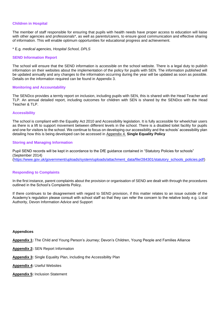### **Children in Hospital**

The member of staff responsible for ensuring that pupils with health needs have proper access to education will liaise with other agencies and professionals<sup>\*</sup>, as well as parents/carers, to ensure good communication and effective sharing of information. This will enable optimum opportunities for educational progress and achievement.

### \* E.g. *medical agencies, Hospital School, DPLS*

### **SEND Information Report**

The school will ensure that the SEND information is accessible on the school website. There is a legal duty to publish information on their websites about the implementation of the policy for pupils with SEN. The information published will be updated annually and any changes to the information occurring during the year will be updated as soon as possible. Details on the information required can be found in Appendix 3.

#### **Monitoring and Accountability**

The SENDco provides a termly report on inclusion, including pupils with SEN, this is shared with the Head Teacher and TLP. An annual detailed report, including outcomes for children with SEN is shared by the SENDco with the Head Teacher & TLP.

### **Accessibility**

The school is compliant with the Equality Act 2010 and Accessibility legislation. It is fully accessible for wheelchair users as there is a lift to support movement between different levels in the school. There is a disabled toilet facility for pupils and one for visitors to the school. We continue to focus on developing our accessibility and the schools' accessibility plan detailing how this is being developed can be accessed in Appendix 4. **Single Equality Policy**

#### **Storing and Managing Information**

Pupil SEND records will be kept in accordance to the DfE guidance contained in "Statutory Policies for schools" (September 2014) [\(https://www.gov.uk/government/uploads/system/uploads/attachment\\_data/file/284301/statutory\\_schools\\_policies.pdf\)](https://www.gov.uk/government/uploads/system/uploads/attachment_data/file/284301/statutory_schools_policies.pdf)

### **Responding to Complaints**

In the first instance, parent complaints about the provision or organisation of SEND are dealt with through the procedures outlined in the School's Complaints Policy.

If there continues to be disagreement with regard to SEND provision, if this matter relates to an issue outside of the Academy's regulation please consult with school staff so that they can refer the concern to the relative body e.g. Local Authority, Devon Information Advice and Support

#### **Appendices**

**Appendix 1:** The Child and Young Person's Journey; Devon's Children, Young People and Families Alliance

**Appendix 2:** SEN Report Information

**Appendix 3:** Single Equality Plan, including the Accessibility Plan

**Appendix 4:** Useful Websites

**Appendix 5:** Inclusion Statement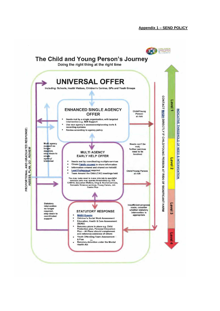## **Appendix 1 – SEND POLICY**

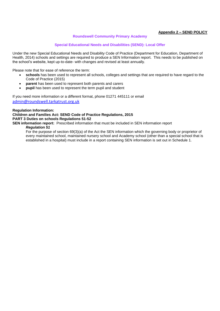# **Appendix 2 – SEND POLICY**

## **Roundswell Community Primary Academy**

### **Special Educational Needs and Disabilities (SEND): Local Offer**

Under the new Special Educational Needs and Disability Code of Practice (Department for Education, Department of Health, 2014) schools and settings are required to produce a SEN Information report. This needs to be published on the school's website, kept up-to-date- with changes and revised at least annually.

Please note that for ease of reference the term:

- **schools** has been used to represent all schools, colleges and settings that are required to have regard to the Code of Practice (2015)
- **parent** has been used to represent both parents and carers
- **pupil** has been used to represent the term pupil and student

If you need more information or a different format, phone 01271 445111 or email [admin@roundswell.tarkatrust.org.uk](mailto:admin@roundswell.tarkatrust.org.uk)

**Regulation Information: Children and Families Act: SEND Code of Practice Regulations, 2015 PART 3 Duties on schools Regulations 51-52**

**SEN information report:** Prescribed information that must be included in SEN information report

# *Regulation 51*

For the purpose of section 69(3)(a) of the Act the SEN information which the governing body or proprietor of every maintained school, maintained nursery school and Academy school (other than a special school that is established in a hospital) must include in a report containing SEN information is set out in Schedule 1.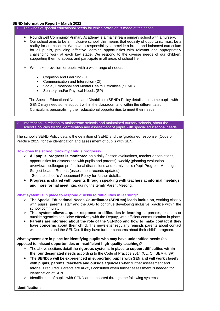## **SEND Information Report – March 2022**

- 1. The kinds of special educational needs for which provision is made at the school.
	- ➢ Roundswell Community Primary Academy is a mainstream primary school with a nursery.
	- $\triangleright$  Our school aims to be an inclusive school; this means that equality of opportunity must be a reality for our children. We have a responsibility to provide a broad and balanced curriculum for all pupils, providing effective learning opportunities with relevant and appropriately challenging work at each key stage. We respond to the diverse needs of our children, supporting them to access and participate in all areas of school life.
	- $\triangleright$  We make provision for pupils with a wide range of needs:
		- Cognition and Learning (CL)
		- Communication and Interaction (CI)
		- Social, Emotional and Mental Health Difficulties (SEMH)
		- Sensory and/or Physical Needs (SP)

 The Special Educational Needs and Disabilities (SEND) Policy details that some pupils with SEND may need some support within the classroom and within the differentiated Curriculum, personalising their educational opportunities to meet their needs

2. Information, in relation to mainstream schools and maintained nursery schools, about the school's policies for the identification and assessment of pupils with special educational needs.

The school's SEND Policy details the definition of SEND and the 'graduated response' (Code of Practice 2015) for the identification and assessment of pupils with SEN.

#### **How does the school track my child's progress?**

- ➢ **All pupils' progress is monitored** on a daily (lesson evaluations, teacher observations, opportunities for discussions with pupils and parents), weekly (planning evaluation overviews; colleague professional discussions and termly basis (Pupil Progress Meetings, Subject Leader Reports (assessment records updated) See the school's Assessment Policy for further details.
- ➢ **Progress is shared with parents through speaking with teachers at informal meetings and more formal meetings**, during the termly Parent Meeting.

### **What system is in place to respond quickly to difficulties in learning?**

- ➢ **The Special Educational Needs Co-ordinator (SENDco) leads inclusion**, working closely with pupils, parents, staff and the AAB to continue developing inclusive practice within the school community.
- ➢ **This system allows a quick response to difficulties in learning** as parents, teachers or outside agencies can liaise effectively with the Deputy, with efficient communication in place.
- ➢ **Parents are informed about the role of the SENDco and how to make contact if they have concerns about their child.** The newsletter regularly reminds parents about contact with teachers and the SENDco if they have further concerns about their child's progress.

# **What systems are in place for identifying pupils who may have unidentified needs (as opposed to missed opportunities or insufficient high-quality teaching)?**

- ➢ The above sections detail the **rigorous systems in place to support difficulties within the four designated needs** according to the Code of Practice 2014 (CL, CI, SEMH, SP).
- ➢ **The SENDco will be experienced in supporting pupils with SEN and will work closely with pupils, parents, teachers and outside agencies** when further assessment and advice is required. Parents are always consulted when further assessment is needed for identification of SEN.
- Identification of pupils with SEND are supported through the following systems:

**Identification:**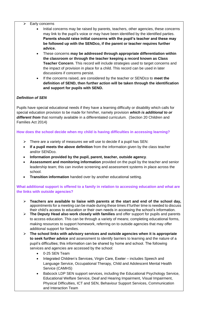- Early concerns
	- Initial concerns may be raised by parents, teachers, other agencies, these concerns may link to the pupil's voice or may have been identified by the identified parties. **Parents should raise initial concerns with the pupil's teacher and these may be followed up with the SENDco, if the parent or teacher requires further advice.**
	- These concerns **may be addressed through appropriate differentiation within the classroom or through the teacher keeping a record known as Class Teacher Concern**. This record will include strategies used to target concerns and the impact of provision in place for a child. This record can be used in later discussions if concerns persist.
	- If the concerns raised, are considered by the teacher or SENDco to **meet the definition of SEND, then further action will be taken through the identification and support for pupils with SEND.**

# *Definition of SEN*

Pupils have special educational needs if they have a learning difficulty or disability which calls for special education provision to be made for him/her, namely provision *which is additional to or different from* that normally available in a differentiated curriculum. (Section 20 Children and Families Act 2014)

**How does the school decide when my child is having difficulties in accessing learning?**

- $\triangleright$  There are a variety of measures we will use to decide if a pupil has SEN:
- **If a pupil meets the above definition** from the information given by the class teacher and/or SENDco.
- **Information provided by the pupil, parent, teacher, outside agency**.
- **Assessment and monitoring information** provided on the pupil by the teacher and senior leadership team; this can involve screening and assessment systems in place across the school.
- **Transition information** handed over by another educational setting.

**What additional support is offered to a family in relation to accessing education and what are the links with outside agencies?**

- ➢ **Teachers are available to liaise with parents at the start and end of the school day,**  appointments for a meeting can be made during these times if further time is needed to discuss their child's access to education or their own needs in accessing the school's information.
- ➢ **The Deputy Head also work closely with families** and offer support for pupils and parents to access education. This can be through a variety of means; completing educational forms, making resources to support homework, referring on to outside agencies that may offer additional support for families.
- ➢ **The school links with advisory services and outside agencies when it is appropriate to seek further advice** and assessment to identify barriers to learning and the nature of a pupil's difficulties; this information can be shared by home and school. The following services and agencies are accessed by the school:
	- 0-25 SEN Team
	- Integrated Children's Services, Virgin Care, Exeter includes Speech and Language Service, Occupational Therapy, Child and Adolescent Mental Health Service (CAMHS)
	- Babcock LDP SEN support services, including the Educational Psychology Service, Educational Welfare Service, Deaf and Hearing Impairment, Visual Impairment, Physical Difficulties, ICT and SEN, Behaviour Support Services, Communication and Interaction Team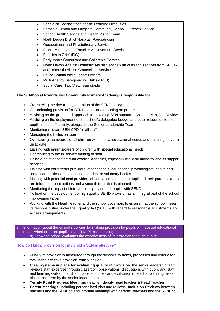- Specialist Teacher for Specific Learning Difficulties
- Pathfield School and Lampard Community School Outreach Service
- School Health Service and Health Visitor Team
- North Devon District Hospital: Paediatrician
- Occupational and Physiotherapy Service
- **Ethnic Minority and Traveller Achievement Service**
- Families in Grief (FiG)
- Early Years Consultant and Children's Centres
- North Devon Against Domestic Abuse Service with outreach services from SPLITZ and Domestic Abuse Counselling Service
- Police Community Support Officers
- Multi Agency Safeguarding Hub (MASH)
- Social Care, Taw View, Barnstaple

# **The SENDco at Roundswell Community Primary Academy is responsible for:**

- Overseeing the day-to-day operation of the SEND policy
- Co-ordinating provision for SEND pupils and reporting on progress
- Advising on the graduated approach to providing SEN support Assess, Plan, Do, Review
- Advising on the deployment of the school's delegated budget and other resources to meet pupils' needs effectively, alongside the Senior Leadership Team
- Monitoring relevant SEN CPD for all staff
- Managing the Inclusion team
- Overseeing the records of all children with special educational needs and ensuring they are up to date
- Liaising with parents/carers of children with special educational needs
- Contributing to the in-service training of staff
- Being a point of contact with external agencies, especially the local authority and its support services
- Liaising with early years providers, other schools, educational psychologists, health and social care professionals and independent or voluntary bodies
- Liaising with potential next providers of education to ensure a pupil and their parents/carers are informed about options and a smooth transition is planned
- Monitoring the impact of interventions provided for pupils with SEND
- To lead on the development of high quality SEND provision as an integral part of the school improvement plan
- Working with the Head Teacher and the school governors to ensure that the school meets its responsibilities under the Equality Act (2010) with regard to reasonable adjustments and access arrangements
- Information about the school's policies for making provision for pupils with special educational needs whether or not pupils have EHC Plans, including a) how the school evaluates the effectiveness of its provision for such pupils;

# **How do I know provision for my child's SEN is effective?**

- $\triangleright$  Quality of provision is measured through the school's systems, processes and criteria for evaluating effective provision, which include:
- **Clear systems in place for evaluating quality of provision**, the senior leadership team reviews staff expertise through classroom observations, discussions with pupils and staff and learning walks. In addition, book scrutinies and evaluation of teacher planning takes place each term by the senior leadership team.
- **Termly Pupil Progress Meetings** (teacher, deputy head teacher & Head Teacher);
- **Parent Meetings**, including personalised plan and reviews; **Inclusion Reviews** between teachers and the SENDco and informal meetings with parents, teachers and the SENDco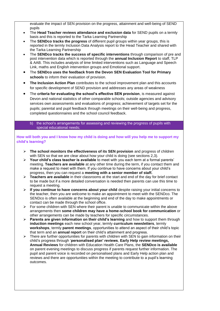evaluate the impact of SEN provision on the progress, attainment and well-being of SEND pupils

- The **Head Teacher reviews attendance and exclusion data** for SEND pupils on a termly basis and this is reported to the Tarka Learning Partnership
- The **SENDco tracks the progress** of different pupil groups within year groups, this is reported in the termly Inclusion Data Analysis report to the Head Teacher and shared with the Tarka Learning Partnership
- The **SENDco tracks the success of specific interventions** through comparison of pre and post intervention data which is reported through the **annual Inclusion Report** to staff, TLP & AAB. This includes analysis of time limited interventions such as Language and Speech Link, maths and English intervention groups and Emotional support.
- The **SENDco uses the feedback from the Devon SEN Evaluation Tool for Primary schools** to inform their evaluation of provision.
- **The Inclusion Action Plan** contributes to the school improvement plan and this accounts for specific development of SEND provision and addresses any areas of weakness
- The **criteria for evaluating the school's effective SEN provision**, is measured against Devon and national statistics of other comparable schools; outside agencies and advisory services own assessments and evaluations of progress; achievement of targets set for the pupils; parental and pupil feedback through meetings on their well-being and progress, completed questionnaires and the school council feedback.

### b) the school's arrangements for assessing and reviewing the progress of pupils with special educational needs;

# **How will both you and I know how my child is doing and how will you help me to support my child's learning?**

- ➢ **The school monitors the effectiveness of its SEN provision** and progress of children with SEN so that we are clear about how your child is doing (see sections 2,3).
- ➢ **Your child's class teacher is available** to meet with you each term at a formal parents' meeting. **Teachers are available** at any other time during the term, if you contact them and make a request to meet with them. If you continue to have concerns about your child's progress, then you can request a **meeting with a senior member of staff.**
- ➢ **Teachers are available** in their classrooms at the start and end of the day for brief contact to be made but if a more detailed conversation is needed then parents can use this time to request a meeting.
- ➢ **If you continue to have concerns about your child** despite raising your initial concerns to the teacher, then you are welcome to make an appointment to meet with the SENDco. The SENDco is often available at the beginning and end of the day to make appointments or contact can be made through the school office.
- $\triangleright$  For some children with SEN where their parent is unable to communicate within the above arrangements then **some children may have a home-school book for communication** or other arrangements can be made by teachers for specific circumstances.
- ➢ **Parents are given information on their child's learning** and how to support them through **induction meetings** each new school year, termly **curriculum newsletters**, termly **workshops**, termly **parent meetings**, opportunities to attend an aspect of their child's topic that term and an **annual report** on their child's attainment and progress.
- ➢ There are further opportunities for parents with children with SEN to gain information on their child's progress through '**personalised plan' reviews**, **Early Help review meetings, Annual Reviews** for children with Education Health Care Plans, the **SENDco is available** on parent evening meetings to discuss progress if parents request further information. The pupil and parent voice is recorded on personalised plans and Early Help action plan and reviews and there are opportunities within the meeting to contribute to a pupil's learning outcomes.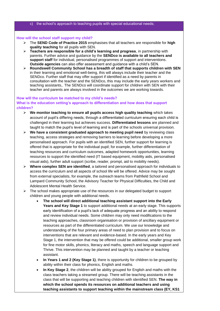### c) the school's approach to teaching pupils with special educational needs;

### **How will the school staff support my child?**

- ➢ The **SEND Code of Practice 2015** emphasises that all teachers are responsible for **high quality teaching** for all pupils with SEN.
- ➢ **Teachers are responsible for a child's learning and progress**, in partnership with parents. Further advice and guidance by the **SENDco is available to all teachers and support staff** for individual, personalised programmes of support and interventions. **Outside agencies** can also offer assessment and guidance with a child's SEN.
- ➢ **Roundswell Community School has a breadth of staff that supports children with SEN** in their learning and emotional well-being, this will always include their teacher and the SENDco. Further staff that may offer support if identified as a need by parents in consultation with the teacher and the SENDco, this may include the early years workers and teaching assistants,. The SENDco will coordinate support for children with SEN with their teacher and parents are always involved in the outcomes we are working towards.

### **How will the curriculum be matched to my child's needs?**

**What is the education setting's approach to differentiation and how does that support children?**

- ➢ **We monitor teaching to ensure all pupils access high quality teaching** which takes account of pupil's differing needs, through a differentiated curriculum ensuring each child is challenged in their learning but achieves success. **Differentiated lessons** are planned and taught to match the pupil's level of learning and is part of the schools universal provision.
- ➢ **We have a consistent graduated approach to meeting pupil need** by reviewing class teaching, access strategies and removing barriers to learning before developing a more personalised approach. For pupils with an identified SEN, further support for learning is offered that is appropriate for the individual pupil; for example, further differentiation of teaching resources and curriculum outcomes, adapted homework opportunities, learning resources to support the identified need (IT based equipment, mobility aids, personalised visual aids), further adult support (scribe, reader, prompt, aid to mobility needs).
- ➢ **Where complex SEN are identified**, a tailored and personalised approach for individuals to access the curriculum and all aspects of school life will be offered. Advice may be sought from external specialists, for example, the outreach teams from Pathfield School and Lampard Community School, the Advisory Teacher for Physical Difficulties, the Child and Adolescent Mental Health Service.
- $\triangleright$  The school makes appropriate use of the resources in our delegated budget to support children and young people with additional needs.
	- **The school will direct additional teaching assistant support into the Early Years and Key Stage 1** to support additional needs at an early stage. This supports early identification of a pupil's lack of adequate progress and an ability to respond and review individual needs. Some children may only need modifications to the teaching approaches, classroom organisation or provision of ancillary equipment or resources as part of the differentiated curriculum. We use our knowledge and understanding of the four primary areas of need to plan provision and to focus on interventions that are relevant and evidence-based. In the early years and Key Stage 1, the intervention that may be offered could be additional, smaller group work for fine motor skills, phonics, literacy and maths, speech and language support and Thrive. This intervention may be planned and taught by a teacher or teaching assistant.
	- **In Years 1 and 2 (Key Stage 1)**, there is opportunity for children to be grouped by ability within their class for phonics, English and maths.
	- **In Key Stage 2**, the children will be ability grouped for English and maths with the class teachers taking a streamed group. There will be teaching assistants in the class that will be supporting and teaching children with identified SEN. **The way in which the school spends its resources on additional teachers and using teaching assistants to support teaching within the mainstream class (EY, KS1**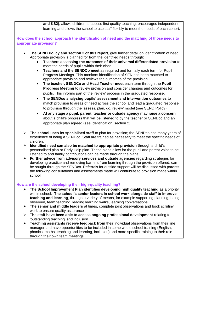**and KS2)**, allows children to access first quality teaching, encourages independent learning and allows the school to use staff flexibly to meet the needs of each cohort.

**How does the school approach the identification of need and the matching of those needs to appropriate provision?**

- ➢ **The SEND Policy and section 2 of this report**, give further detail on identification of need. Appropriate provision is planned for from the identified needs through:
	- **Teachers assessing the outcomes of their universal differentiated provision** to meet the needs of pupils within their class.
	- **Teachers and the SENDCo meet** as required and formally each term for Pupil Progress Meetings. This monitors identification of SEN has been matched to appropriate provision and reviews the outcomes of the provision.
	- **The teacher, SENDCo and Head Teacher meet** each term through the **Pupil Progress Meeting** to review provision and consider changes and outcomes for pupils. This informs part of the 'review' process in the graduated response.
	- **The SENDco analysing pupils' assessment and intervention outcomes** to match provision to areas of need across the school and lead a graduated response to provision through the 'assess, plan, do, review' model (see SEND Policy).
	- **At any stage a pupil, parent, teacher or outside agency may raise a concern** about a child's progress that will be listened to by the teacher or SENDco and an appropriate plan agreed (see Identification, section 2).
- ➢ **The school uses its specialised staff** to plan for provision; the SENDco has many years of experience of being a SENDco. Staff are trained as necessary to meet the specific needs of children.
- ➢ **Identified need can also be matched to appropriate provision** through a child's personalised plan or Early Help plan. These plans allow for the pupil and parent voice to be listened to and family contributions can be made through the plans.
- ➢ **Further advice from advisory services and outside agencies** regarding strategies for developing practice and removing barriers from learning through the provision offered, can be sought through the SENDco. Referrals for outside support will be discussed with parents; the following consultations and assessments made will contribute to provision made within school.

# **How are the school developing their high-quality teaching?**

- ➢ **The School Improvement Plan identifies developing high quality teaching** as a priority within school. **The school's senior leaders in school work alongside staff to improve teaching and learning**, through a variety of means, for example supporting planning, being observed, team teaching, leading learning walks, learning conversations.
- ➢ **The senior and middle leaders** at times, complete joint observations and book scrutiny work to ensure quality assurance
- ➢ **The staff have been able to access ongoing professional development** relating to 'outstanding teaching' and inclusion.
- ➢ **Teaching assistants receive feedback from** their individual observations from their line manager and have opportunities to be included in some whole school training (English, phonics, maths, teaching and learning, inclusion) and more specific training to their role through their own team meetings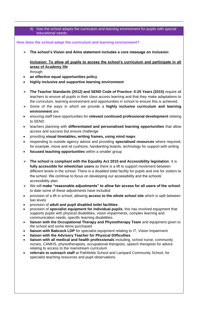d) how the school adapts the curriculum and learning environment for pupils with special educational needs;

**How does the school adapt the curriculum and learning environment?**

➢ **The school's Vision and Aims statement includes a core message on inclusion:**

**Inclusion: To allow all pupils to access the school's curriculum and participate in all areas of Academy life**

through

- **an effective equal opportunities policy**
- **highly inclusive and supportive learning environment**
- ➢ **The Teacher Standards (2012) and SEND Code of Practice: 0-25 Years (2015)** require all teachers to ensure all pupils in their class access learning and that they make adaptations to the curriculum, learning environment and opportunities in school to ensure this is achieved.
- ➢ Some of the ways in which we provide a **highly inclusive curriculum and learning environment** are:
- ensuring staff have opportunities for **relevant continued professional development** relating to SEND
- teachers planning with **differentiated and personalised learning opportunities** that allow access and success but ensure challenge
- providing **visual timetables, writing frames, using mind maps**
- responding to outside agency advice and providing **specialised resources** where required, for example, move and sit cushions, handwriting boards, technology for support with writing
- **focused teaching opportunities** within a smaller group
- ➢ **The school is compliant with the Equality Act 2010 and Accessibility legislation**. It is **fully accessible for wheelchair users** as there is a lift to support movement between different levels in the school. There is a disabled toilet facility for pupils and one for visitors to the school. We continue to focus on developing our accessibility and the schools' accessibility plan.
- ➢ We will **make "reasonable adjustments" to allow fair access for all users of the school**, to date some of these adjustments have included:
- provision of a lift in school, allowing **access to the whole school site** which is split between two levels
- provision of **adult and pupil disabled toilet facilities**
- provision of **specialist equipment for individual pupils**; this has involved equipment that supports pupils with physical disabilities, vision impairments, complex learning and communication needs, specific learning disabilities.
- **liaison with the Occupational Therapy and Physiotherapy Team** and equipment given to the school and some items purchased
- **liaison with Babcock LDP** for specialist equipment relating to IT, Vision Impairment
- **liaison with the Advisory Teacher for Physical Difficulties**
- **liaison with all medical and health professionals** including, school nurse, community nurses, CAMHS, physiotherapists, occupational therapists, speech therapists for advice relating to access to the mainstream curriculum
- **referrals to outreach staff** at Pathfields School and Lampard Community School, for specialist teaching resources and pupil observations.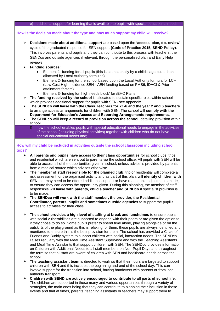### e) additional support for learning that is available to pupils with special educational needs;

**How is the decision made about the type and how much support my child will receive?**

- ➢ **Decisions made about additional support** are based upon the **'assess, plan, do, review'** cycle of the graduated response for SEN support **(Code of Practice 2015, SEND Policy)**. This involves parents and pupils and they can contribute to this process with teachers, the SENDco and outside agencies if relevant, through the personalised plan and Early Help reviews.
- ➢ **Funding sources**:
	- Element 1- funding for all pupils (this is set nationally by a child's age but is then allocated by Local Authority formulas)
	- Element 2- funding for the school based upon the Local Authority formula for LCHI (Low Cost High Incidence SEN - AEN funding based on FMS6, IDACI & Prior attainment factors)
	- Element 3- funding for 'high needs block' for /EHC Plans
- ➢ **The funding received by the school** is allocated to sustain specific roles within school which provides additional support for pupils with SEN- see appendix 1.
- ➢ **The SENDco will liaise with the Class Teachers for Y1-6 and the year 2 and 6 teachers** to arrange access arrangements for children with SEN. The school will **comply with the Department for Education's Access and Reporting Arrangements requirements**.
- ➢ The **SENDco will keep a record of provision across the school**, detailing provision within school.
	- f) how the school enables pupils with special educational needs to engage in the activities of the school (including physical activities) together with children who do not have special educational needs and;

# **How will my child be included in activities outside the school classroom including school trips?**

- ➢ **All parents and pupils have access to their class opportunities** for school clubs, trips and residential which are sent out to parents via the school office. All pupils with SEN will be able to access all of the opportunities given in school, unless advice is provided by parents from a medical source which advises otherwise.
- ➢ **The member of staff responsible for the planned club**, trip or residential will complete a risk assessment for the organised activity and as part of this plan, will **identify children with SEN** that may need to be offered additional support or have reasonable adjustments made, to ensure they can access the opportunity given. During this planning, the member of staff responsible will **liaise with parents, child's teacher and SENDco** if specialist provision is to be made.
- ➢ **The SENDco will work with the staff member, the provider, the Residential Coordinator, parents, pupils and sometimes outside agencies** to support the pupil's access to activities for their class.
- ➢ **The school provides a high level of staffing at break and lunchtimes** to ensure pupils with social vulnerabilities are supported to engage with their peers or are given the option to, if they chose to do so. Some pupils prefer to spend time alone, playing alongside or on the outskirts of the playground as this is relaxing for them; these pupils are always identified and monitored to ensure this is the best provision for them. The school has provided a Circle of Friends and Buddy system to support children with social, interaction needs. The SENDco liaises regularly with the Meal Time Assistant Supervisor and with the Teaching Assistants and Meal Time Assistants that support children with SEN. The SENDco provides information on Children with Additional Needs to all staff members on Non-Pupil Days and throughout the term so that all staff are aware of children with SEN and healthcare needs across the school.
- ➢ **The teaching assistant team** is directed to work so that their hours are targeted to support children with SEN and this includes the beginning and end of the school day. This can involve support for the transition into school, having handovers with parents or from local authority transport.
- ➢ **Children with SEND are actively encouraged to contribute to all parts of school life**, The children are supported in these many and various opportunities through a variety of strategies, the main ones being that they can contribute to planning their inclusion in these events and that at times, parents, teaching assistants or teachers may support them to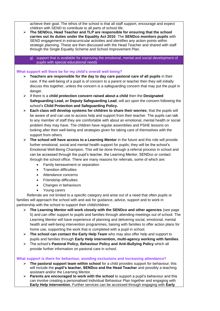achieve their goal. The ethos of the school is that all staff support, encourage and expect children with SEND to contribute to all parts of school life.

➢ **The SENDco, Head Teacher and TLP are responsible for ensuring that the school carries out its duties under the Equality Act 2010**. The **SENDco monitors pupils** with SEND engagement in extracurricular activities and identifies any action points within strategic planning. These are then discussed with the Head Teacher and shared with staff through the Single Equality Scheme and School Improvement Plan.

g) support that is available for improving the emotional, mental and social development of pupils with special educational needs

# **What support will there be for my child's overall well-being?**

- ➢ **Teachers are responsible for the day to day care pastoral care of all pupils** in their care. If the well-being of a pupil is of concern to a parent or teacher then they will initially discuss this together, unless the concern is a safeguarding concern that may put the pupil in danger.
- ➢ If there is a **child protection concern raised about a child** then the **Designated Safeguarding Lead, or Deputy Safeguarding Lead**, will act upon the concern following the school's **Child Protection and Safeguarding Policy.**
- ➢ **Each class will develop systems for children to share their worries**; that the pupils will be aware of and can use to access help and support from their teacher. The pupils can talk to any member of staff they are comfortable with about an emotional, mental health or social problem they may have. The children have regular assemblies and PSHE lessons on looking after their well-being and strategies given for taking care of themselves with the support from others.
- ➢ **The school will have access to a Learning Mentor** in the future and this role will provide further emotional, social and mental health support for pupils; they will be the school's Emotional Well-Being Champion. This will be done through a referral process in school and can be accessed through the pupil's teacher, the Learning Mentor, SENDco or contact through the school office. There are many reasons for referrals, some of which are:
	- Family bereavement or separation
	- Transition difficulties
	- Attendance concerns
	- Friendship difficulties
	- Changes in behaviours
	- Young carers

 Referrals are not limited to a specific category and arise out of a need that often pupils or families will approach the school with and ask for guidance, advice, support and to work in partnership with the school to support their child/children.

- ➢ **The Learning Mentor will work closely with the SENDco and other agencies** (see page 5) and can offer support to pupils and families through attending meetings out of school. The Learning Mentor will have experience of planning and delivering social, emotional, mental health and well-being intervention programmes, liaising with families to offer action plans for home use, supporting the work that is completed with a pupil in school.
- ➢ **The school can contact the Early Help Team** who may also offer help and support to pupils and families through **Early Help intervention, multi-agency working with families**.
- ➢ The school's **Pastoral Policy, Behaviour Policy and Anti-Bullying Policy** which all provide further information on pastoral care in school.

### **What support is there for behaviour, avoiding exclusions and increasing attendance?**

- ➢ **The pastoral support team within school** for a child provides support for behaviour; this will include the **pupil's teacher, SENDco and the Head Teacher** and possibly a teaching assistant and/or the Learning Mentor.
- ➢ **Parents are encouraged to work with the school** to support a pupil's behaviour and this can involve creating a personalised Individual Behaviour Plan together and engaging with **Early Help intervention**. Further services can be accessed through engaging with **Early**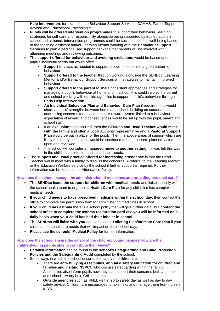**Help intervention**; for example, the Behaviour Support Services, CAMHS, Parent Support Advisor and Educational Psychologist.

- ➢ **Pupils will be offered intervention programmes** to support their behaviour, learning strategies for self-care and responsibility alongside being supported by trusted adults in school and at home; intervention programmes could be social, emotional well-being based or the teaching assistant and/or Learning Mentor working with the **Behaviour Support Services** to plan a personalised support package that parents will be involved with, attending meetings and reviewing outcomes.
- ➢ **The support offered for behaviour and avoiding exclusions** would be based upon a pupil's individual needs but would offer:
	- **Support in class** as needed to support a pupil to settle into a good pattern of behaviour.
	- **Support offered to the teacher** through working alongside the SENDco, Learning Mentor and/or Behaviour Support Services with strategies to maintain improved behaviour.
	- **Support offered to the parent** to share consistent approaches and strategies for managing a pupil's behaviour at home and in school; this could involve the parent and school working with outside agencies to support a child's behaviour through **Early Help intervention**
	- **An Individual Behaviour Plan and Behaviour Care Plan** if required, this would share a pupils' strengths between home and school, building on success and addressing concerns for development. A reward system linked to a behaviour expectation of reward and consequences would be set up with the pupil, parent and school staff.
	- If an **exclusion** has occurred, then the **SENDco and Head Teacher would meet with the family** and often a Local Authority representative and a **Pastoral Support Plan** would be put in place for the pupil. Then the above areas of support which are likely to already be in place would be continued to be assessed, planned, acted upon and reviewed.
	- The school will consider a **managed move to another setting** if it was felt this was in the child's best interest and suited their needs.
- ➢ The **support and usual practice offered for increasing attendance** is that the Head Teacher would meet with a family to discuss the concerns. A referral to the Learning Mentor or the Education Welfare service by the school if further support is required. Further information can be found in the Attendance Policy.

# **How does the school manage the administration of medicines and providing personal care?**

- ➢ **The SENDco leads the support for children with medical needs** and liaises closely with the school health team to organise a **Health Care Plan** for any child that has complex medical needs.
- ➢ **If your child needs to have prescribed medicine within the school day,** then contact the office to complete the permission form for administering medicines in school.
- ➢ **If your child has asthma** there is a school policy that will give further detail but **contact the school office to complete the asthma registration card** and **you will be informed on a daily basis when your child has had their inhaler in school**.
- ➢ **The SENDco will liaise with you** and complete a **Toileting Plan/Intimate Care Plan** if your child has personal care needs that will impact on their school day.
- ➢ **Please see the schools' Medical Policy** for further information.

**How does the school ensure the safety of the children/ young people? How are the children/young people able to contribute their views?**

- ➢ **Detailed information** can be found in the **school's Safeguarding and Child Protection Policies and the Safeguarding Audit** completed by the school.
- $\triangleright$  Some ways in which the school ensures the safety of children are:
	- There are **anti- bullying assemblies, annual e safety education for children and families and visiting NSPCC** who discuss safeguarding within the family. Assemblies also inform pupils how they can support their concerns both at home and school – worry box, Child Line etc.
	- **Outside agencies** such as RNLI, visit in Y6 to safety day as well as day to day safety advice. Children are encouraged to take risks and manage them from nursery to Y6.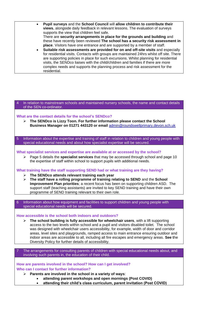- **Pupil surveys** and the **School Council** will **allow children to contribute their views**, alongside daily feedback in relevant lessons. The evaluation of surveys supports the view that children feel safe. There are **security arrangements in place for the grounds and building** and these have recently been reviewed **The school has a security risk assessment in place**. Visitors have one entrance and are supported by a member of staff.
	- **Suitable risk assessments are provided for on and off-site visits** and especially for residential visits. Contacts with groups are maintained 24hrs whilst off site. There are supporting policies in place for such excursions. Whilst planning for residential visits, the SENDco liaises with the child/children and families if there are more complex needs and supports the planning process and risk assessment for the residential.

### In relation to mainstream schools and maintained nursery schools, the name and contact details of the SEN co-ordinator.

### **What are the contact details for the school's SENDco?**

- ➢ **The SENDco is Lizzy Toon. For further information please contact the School Business Manager on 01271 443120 or email** [admin@roundswellprimary.devon.sch.uk](mailto:admin@roundswellprimary.devon.sch.uk)
- 5 Information about the expertise and training of staff in relation to children and young people with special educational needs and about how specialist expertise will be secured.

**What specialist services and expertise are available at or accessed by the school?**

➢ Page 5 details the **specialist services** that may be accessed through school and page 10 the expertise of staff within school to support pupils with additional needs.

**What training have the staff supporting SEND had or what training are they having?**

- ➢ **The SENDco attends relevant training each year**
- ➢ **The staff have a rolling programme of training relating to SEND** and the **School Improvement Plan priorities**; a recent focus has been on supporting children ASD. The support staff (teaching assistants) are invited to key SEND training and have their own programme of SEND training relevant to their own role.

6 Information about how equipment and facilities to support children and young people with special educational needs will be secured.

**How accessible is the school both indoors and outdoors?**

➢ **The school building is fully accessible for wheelchair users**, with a lift supporting access to the two levels within school and a pupil and visitors disabled toilet. The school was designed with wheelchair users accessibility, for example, width of door and corridor areas, level sites and playgrounds, ramped access to main entrance ensuring outdoor and indoor areas are accessible to all, including all fire escapes and emergency areas. **See t**he Diversity Policy for further details of accessibility.

7 The arrangements for consulting parents of children with special educational needs about, and involving such parents in, the education of their child.

**How are parents involved in the school? How can I get involved? Who can I contact for further information?**

- ➢ **Parents are involved in the school in a variety of ways**:
	- **attending parent workshops and open mornings (Post COVID)**
	- **attending their child's class curriculum, parent invitation (Post COVID)**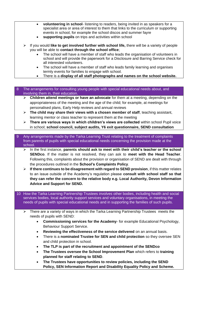- **volunteering in school** listening to readers, being invited in as speakers for a specialist area or area of interest to them that links to the curriculum or supporting events in school, for example the school discos and summer fayre
- **supporting pupils** on trips and activities within school
- ➢ If you would **like to get involved further with school life,** there will be a variety of people you will be able to **contact through the school office**;
	- The school will have a member of staff who leads the organisation of volunteers in school and will provide the paperwork for a Disclosure and Barring Service check for all interested volunteers.
	- The school will have a member of staff who leads family learning and organises termly events for families to engage with school.
	- There is a **display of all staff photographs and names on the school website.**

| 8 The arrangements for consulting young people with special educational needs about, and |
|------------------------------------------------------------------------------------------|
| involving them in, their education.                                                      |

- ➢ **Children attend meetings or have an advocate** for them at a meeting, depending on the appropriateness of the meeting and the age of the child; for example, at meetings for personalised plans, Early Help reviews and annual reviews
- ➢ **The child may share their views with a chosen member of staff**, teaching assistant, learning mentor or class teacher to represent them at the meeting
- ➢ **There are various ways in which children's views are collected** within school Pupil voice in school; **school council, subject audits, Y6 exit questionnaire, SEND consultation**
- 9 Any arrangements made by the Tarka Learning Trust relating to the treatment of complaints from parents of pupils with special educational needs concerning the provision made at the school.
	- ➢ In the first instance, **parents should ask to meet with their child's teacher or the school SENDco**. If the matter is not resolved, they can ask to **meet with the Head Teacher**. Following this, complaints about the provision or organisation of SEND are dealt with through the procedures outlined in the **School's Complaints Policy**.
	- ➢ **If there continues to be disagreement with regard to SEND provision**, if this matter relates to an issue outside of the Academy's regulation please **consult with school staff so that they can refer the concern to the relative body e.g. Local Authority, Devon Information Advice and Support for SEND.**
- 10 How the Tarka Learning Partnership Trustees involves other bodies, including health and social services bodies, local authority support services and voluntary organisations, in meeting the needs of pupils with special educational needs and in supporting the families of such pupils.
	- ➢ There are a variety of ways in which the Tarka Learning Partnership Trustees meets the needs of pupils with SEND:
		- **Commissioning services for the Academy** for example Educational Psychology, Behaviour Support Service.
		- **Reviewing the effectiveness of the service delivered** on an annual basis.
		- There is a **nominated Trustee for SEN and child protection** so they oversee SEN and child protection in school.
		- **The TLP is part of the recruitment and appointment of the SENDco**
		- **The Trustees oversee the School Improvement Plan** which refers to **training planned for staff relating to SEND**.
		- **The Trustees have opportunities to review policies, including the SEND Policy, SEN Information Report and Disability Equality Policy and Scheme.**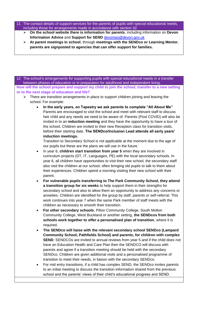- The contact details of support services for the parents of pupils with special educational needs, including those for arrangements made in accordance with section 32.
	- ➢ **On the school website there is information for parents**, including information on **Devon Information Advice** and **Support for SEND** [devonias@devon.gov.uk](mailto:devonias@devon.gov.uk)
	- ➢ **At parent meetings in school**, through **meetings with the SENDco or Learning Mentor**, **parents are signposted to agencies that can offer support for families.**

12 The school's arrangements for supporting pupils with special educational needs in a transfer between phases of education or in preparation for adulthood and independent living. **How will the school prepare and support my child to join the school, transfer to a new setting or to the next stage of education and life?**

- ➢ There are transition arrangements in place to support children joining and leaving the school. For example:
	- **In the early years, on Tapestry we ask parents to complete "All About Me"**  Parents are encouraged to visit the school and meet with relevant staff to discuss heir child and any needs we need to be aware of. Parents (Post COVID) will also be invited in to an **induction meeting** and they have the opportunity to have a tour of the school. Children are invited to their new Reception class for transition visits, before their starting date. **The SENDco/Inclusion Lead attends all early years' induction meetings.**

Transition to Secondary School is not applicable at the moment due to the age of our pupils but these are the plans we will use in the future.

- In year 6, **children start transition from year 5** when they are involved in curriculum projects (DT, IT, Languages, PE) with the local secondary schools. In year 6, all children have opportunities to visit their new school, the secondary staff also visit the children at our school, often bringing old pupils to talk to them about their experiences. Children spend a morning visiting their new school with their parent.
- **For vulnerable pupils transferring to The Park Community School, they attend a transition group for six weeks** to help support them in their strengths for secondary school and also to allow them an opportunity to address any concerns or anxieties. Children are identified for the group by staff, parents or self-referral. This work continues into year 7 when the same Park member of staff meets with the children as necessary to smooth their transition.
- **For other secondary schools**, Pilton Community College, South Molton Community College, West Buckland or another setting, **the SENDcos from both schools work together to offer a personalised plan of transition**, where it is required.
- **The SENDco will liaise with the relevant secondary school SENDco (Lampard Community School, Pathfields School) and parents, for children with complex SEND**. SENDCOs are invited to annual reviews from year 5 and if the child does not have an Education Health and Care Plan then the SENDCO will discuss with parents and agree if a transition meeting should be held with the secondary SENDco. Children are given additional visits and a personalised programme of transition to meet their needs, in liaison with the secondary SENDco.
- For mid entry transitions, if a child has complex SEND, the SENDco invites parents to an initial meeting to discuss the transition information shared from the previous school and the parents' views of their child's educational progress and SEND.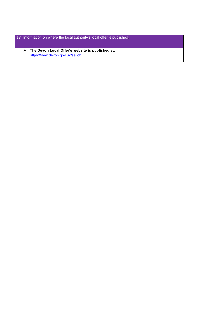- 13 Information on where the local authority's local offer is published.
	- ➢ **The Devon Local Offer's website is published at:**  <https://new.devon.gov.uk/send/>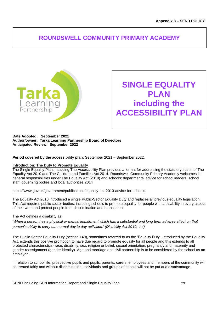# **ROUNDSWELL COMMUNITY PRIMARY ACADEMY**



**SINGLE EQUALITY PLAN including the ACCESSIBILITY PLAN**

### **Date Adopted: September 2021 Author/owner: Tarka Learning Partnership Board of Directors Anticipated Review: September 2022**

**Period covered by the accessibility plan:** September 2021 – September 2022.

### **Introduction: The Duty to Promote Equality**

The Single Equality Plan, including The Accessibility Plan provides a format for addressing the statutory duties of The Equality Act 2010 and The Children and Families Act 2014. Roundswell Community Primary Academy welcomes its general responsibilities under The Equality Act (2010) and schools: departmental advice for school leaders, school staff, governing bodies and local authorities 2014

<https://www.gov.uk/government/publications/equality-act-2010-advice-for-schools>

The Equality Act 2010 introduced a single Public-Sector Equality Duty and replaces all previous equality legislation. This Act requires public sector bodies, including schools to promote equality for people with a disability in every aspect of their work and protect people from discrimination and harassment.

The Act defines a disability as:

*'When a person has a physical or mental impairment which has a substantial and long term adverse effect on that person's ability to carry out normal day to day activities.' (Disability Act 2010, 4.4)*

The Public-Sector Equality Duty (section 149), sometimes referred to as the 'Equality Duty', introduced by the Equality Act, extends this positive promotion to have due regard to promote equality for all people and this extends to all protected characteristics- race, disability, sex, religion or belief, sexual orientation, pregnancy and maternity and gender reassignment (gender identity). Age and marriage and civil partnership is to be considered by the school as an employer.

In relation to school life, prospective pupils and pupils, parents, carers, employees and members of the community will be treated fairly and without discrimination; individuals and groups of people will not be put at a disadvantage.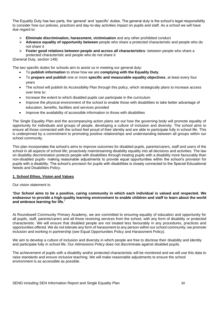The Equality Duty has two parts, the 'general' and 'specific' duties. The general duty is the school's legal responsibility to consider how our policies, practices and day-to-day activities impact on pupils and staff. As a school we will have due regard to:

- ➢ **Eliminate discrimination, harassment, victimisation** and any other prohibited conduct
- ➢ **Advance equality of opportunity between** people who share a protected characteristic and people who do not share it
- ➢ **Foster good relations between people and across all characteristics** between people who share a protected characteristic and people who do not share it

(General Duty, section 149)

The two specific duties for schools aim to assist us in meeting our general duty:

- To **publish information** to show how we are **complying with the Equality Duty**.
- To **prepare and publish** one or more **specific and measurable equality objectives**, at least every four years
- The school will publish its Accessibility Plan through this policy, which strategically plans to increase access over time to:
- Increase the extent to which disabled pupils can participate in the curriculum
- Improve the physical environment of the school to enable those with disabilities to take better advantage of education, benefits, facilities and services provided
- Improve the availability of accessible information to those with disabilities

The Single Equality Plan and the accompanying action plans set out how the governing body will promote equality of opportunity for individuals and groups of people, developing a culture of inclusion and diversity. The school aims to ensure all those connected with the school feel proud of their identity and are able to participate fully in school life. This is underpinned by a commitment to promoting positive relationships and understanding between all groups within our school community.

This plan incorporates the school's aims to improve outcomes for disabled pupils, parents/carers, staff and users of the school in all aspects of school life; proactively mainstreaming disability equality into all decisions and activities. The law on disability discrimination protects people with disabilities through treating pupils with a disability more favourably than non-disabled pupils- making reasonable adjustments to provide equal opportunities within the school's provision for pupils with a disability. The school's provision for pupils with disabilities is closely connected to the Special Educational Needs and Disabilities Policy.

# **1. School Ethos, Vision and Values**

Our vision statement is:

**'Our School aims to be a positive, caring community in which each individual is valued and respected. We endeavour to provide a high-quality learning environment to enable children and staff to learn about the world and embrace learning for life.'**

At Roundswell Community Primary Academy, we are committed to ensuring equality of education and opportunity for all pupils, staff, parents/carers and all those receiving services from the school, with any form of disability or protected characteristic. We will ensure that disabled people are not treated less favourably in any procedures, practices and opportunities offered. We do not tolerate any form of harassment to any person within our school community; we promote inclusion and working in partnership (see Equal Opportunities Policy and Harassment Policy).

We aim to develop a culture of inclusion and diversity in which people are free to disclose their disability and identity and participate fully in school life. Our Admissions Policy does not discriminate against disabled pupils.

The achievement of pupils with a disability and/or protected characteristic will be monitored and we will use this data to raise standards and ensure inclusive teaching. We will make reasonable adjustments to ensure the school environment is as accessible as possible.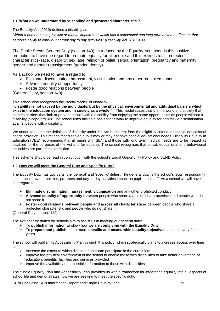# **1.1 What do we understand by 'disability' and 'protected characteristic'?**

The Equality Act (2010) defines a disability as:

*'When a person has a physical or mental impairment which has a substantial and long term adverse effect on that person's ability to carry out normal day to day activities.' (Disability Act 2010, 4.4)*

The Public Sector General Duty (section 149), introduced by the Equality Act, extends this positive promotion to have due regard to promote equality for all people and this extends to all protected characteristics- race, disability, sex, age, religion or belief, sexual orientation, pregnancy and maternity gender and gender reassignment (gender identity).

As a school we need to have a regard to:

- $\triangleright$  Eliminate discrimination, harassment, victimisation and any other prohibited conduct
- $\triangleright$  Advance equality of opportunity
- ➢ Foster good relations between people

(General Duty, section 149)

This school also recognises the "social model" of disability:

**"disability is not caused by the individuals, but by the physical, environmental and attitudinal barriers which exist in the education system and in society as a whole**." This model states that it is the world and society that creates barriers that limit or prevent people with a disability from enjoying the same opportunities as people without a disability (Scope.org.uk). The school uses this as a basis for its work to improve equality for and tackle discrimination against people with a disability.

We understand that the definition of disability under the Act is different from the eligibility criteria for special educational needs provision. This means that disabled pupils may or may not have special educational needs. Disability Equality in Education (DEE) recommends that all pupils with SEN and those with long term medical needs are to be treated as disabled for the purposes of the Act and for equality. The school recognises that social, educational and behavioural difficulties are part of this definition.

This scheme should be read in conjunction with the school's Equal Opportunity Policy and SEND Policy.

# **1.2 How we will meet the General Duty and Specific Duty?**

The Equality Duty has two parts, the 'general' and 'specific' duties. The general duty is the school's legal responsibility to consider how our policies, practices and day-to-day activities impact on pupils and staff. As a school we will have due regard to:

- ➢ **Eliminate discrimination, harassment, victimisation** and any other prohibited conduct
- ➢ **Advance equality of opportunity between** people who share a protected characteristic and people who do not share it
- ➢ **Foster good relations between people and across all characteristics** between people who share a protected characteristic and people who do not share it

(General Duty, section 149)

The two specific duties for schools aim to assist us in meeting our general duty:

- ➢ To **publish information to** show how we are **complying with the Equality Duty**
- ➢ To **prepare and publish** one or more **specific and measurable equality objectives**, at least every four years

The school will publish its Accessibility Plan through this policy, which strategically plans to increase access over time to:

- Increase the extent to which disabled pupils can participate in the curriculum
- ➢ Improve the physical environment of the school to enable those with disabilities to take better advantage of education, benefits, facilities and services provided
- ➢ Improve the availability of accessible information to those with disabilities

The Single Equality Plan and Accessibility Plan provides us with a framework for integrating equality into all aspects of school life and demonstrates how we are seeking to meet the specific duty.

SEND including SEN Information Report and Single Equality Plan 31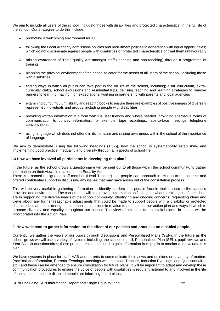We aim to include all users of the school, including those with disabilities and protected characteristics, in the full life of the school. Our strategies to do this include;

- promoting a welcoming environment for all
- following the Local Authority admissions policies and recruitment policies in adherence with equal opportunities; which do not discriminate against people with disabilities or protected characteristics or treat them unfavourably
- raising awareness of The Equality Act amongst staff (teaching and non-teaching) through a programme of training
- planning the physical environment of the school to cater for the needs of all users of the school, including those with disabilities
- finding ways in which all pupils can take part in the full life of the school, including; a full curriculum, extracurricular clubs, school excursions and residential trips, devising teaching and learning strategies to remove barriers to learning, having high expectations, working in partnership with parents and local agencies
- examining our curriculum, library and reading books to ensure there are examples of positive images of diversely represented individuals and groups, including people with disabilities
- providing written information in a form which is user friendly and where needed, providing alternative forms of communication to convey information, for example, tape recordings, face-to-face meetings, telephone conversations
- using language which does not offend in its literature and raising awareness within the school of the importance of language

We aim to demonstrate, using the following headings (1.3-5), how the school is systematically establishing and implementing good practice in equality and diversity through all aspects of school life.

### **1.3 How we have involved all participants in developing this plan?**

In the future, as the school grows a questionnaire will be sent out to all those within the school community, to gather information on their views in relation to the Equality Act.

There is a named designated staff member (Head Teacher) that people can approach in relation to the scheme and offered confidential support in discussing any issues that may have arisen out of the consultation process.

This will be very useful in gathering information to identify barriers that people face in their access to the school's provision and environment. The consultation will also provide information on finding out what the strengths of the school are in supporting the diverse needs of the school community, identifying any ongoing concerns, requesting ideas and views about any further reasonable adjustments that could be made to support people with a disability or protected characteristic and considering the communities opinions in relation to priorities for our action plan and ways in which to promote diversity and equality throughout our school. The views from the different stakeholders in school will be incorporated into the Action Plan.

### **2. How we intend to gather information on the effect of our policies and practices on disabled people.**

Currently, we gather the views of our pupils through discussions and Personalised Plans (SEN). In the future as the school grows we will use a variety of systems including, the school council, Personalised Plan (SEN), pupil reviews and Year Six exit questionnaires; these procedures can be used to gain information from pupils to monitor and evaluate this plan.

We have systems in place for staff, AAB and parents to communicate their views and opinions on a variety of matters (Admissions Information, Parents' Evenings, meetings with the Head Teacher, Induction Evenings, and Questionnaires etc.) and these can be amended to ensure consultation for future plans. It will be important to adapt and develop these communication procedures to ensure the voice of people with disabilities is regularly listened to and involved in the life of the school, to ensure disabled people are informing future plans.

SEND including SEN Information Report and Single Equality Plan 32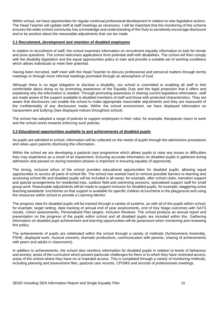Within school, we have opportunities for regular continual professional development in relation to new legislative actions. The Head Teacher will update staff at staff meetings as necessary. t will be important that the monitoring of this scheme ensures the wider school community has a knowledge and understanding of the Duty to sensitively encourage disclosure and to be positive about the reasonable adjustments that can be made.

### **2.1 Recruitment, development and retention of disabled employees**

In relation to recruitment of staff, the school examines information on recruitment equality information to look for trends and pose questions. The school welcomes applications from potential staff with disabilities. The school will then comply with the disability legislation and the equal opportunities policy to train and provide a suitable set of working conditions which allows individuals to meet their potential.

Having been recruited, staff meet with the Head Teacher to discuss professional and personal matters through termly meetings or through more informal meetings promoted through an atmosphere of trust.

Although there is no legal obligation to disclose a disability, our school is committed to enabling all staff to feel comfortable about doing so by promoting awareness of the Equality Duty and the legal protection that it offers and explaining why the information is needed. Through promoting awareness in sharing current legislative information, staff are made aware of the support available to disabled members of staff and those with protected characteristics. They are aware that disclosures can enable the school to make appropriate reasonable adjustments and they are reassured of the confidentiality of any disclosures made. Within the school environment, we have displayed information on harassment and bullying (See displayed notices throughout school).

The school has adopted a range of policies to support employees in their roles; for example, therapeutic return to work and the school works towards enforcing such policies.

### **2.2 Educational opportunities available to and achievements of disabled pupils**

As pupils are admitted to school, information will be collected on the needs of pupils through the admissions procedures and relies upon parents disclosing this information.

Within the school we are developing a pastoral care programme which allows pupils to raise any issues or difficulties they may experience as a result of an impairment. Ensuring accurate information on disabled pupils is gathered during admission and passed on during transition phases is important in ensuring equality of opportunity.

The strong, inclusive ethos of the school provides educational opportunities for disabled pupils, allowing equal opportunities to access all parts of school life. The school has worked hard to remove possible barriers to learning and accessing school life and disabled pupils will be included in all areas; for example, after school clubs, transition support and special arrangements for residential trips, outdoor field and swimming sessions, specialised support staff for small group work. Reasonable adjustments will be made to support inclusion for disabled pupils, for example; staggering some teaching assistants' lunchtimes so that support is available for specific children at lunchtime in the playground and using the resources within school to provide a Learning Mentor.

The progress data for disabled pupils will be tracked through a variety of systems, as with all of the pupils within school, for example; target setting, data tracking of annual end of year assessments, end of Key Stage outcomes with SATS results, cohort assessments, Personalised Plan targets, Inclusion Reviews. The school produce an annual report and presentation on the progress of the pupils within school and all disabled pupils are included within this. Gathering information on disabled pupil achievement and learning opportunities will be paramount when monitoring and reviewing this policy.

The achievements of pupils are celebrated within the school through a variety of methods (Achievement Assembly, PSHE, displayed work, musical concerts, dramatic productions, communication with parents, sharing of achievements with peers and adults in classrooms).

In addition to achievements, the school also monitors information for disabled pupils in relation to levels of behaviour and anxiety; areas of the curriculum which present particular challenges for them or to which they have restricted access; areas of the school where they have no or impeded access. This is completed through a variety of monitoring methods, including planning and assessment files, pastoral care records, CPOMS and records of professionals meetings.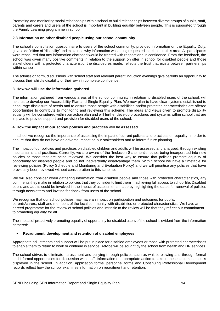Promoting and monitoring social relationships within school to build relationships between diverse groups of pupils, staff, parents and carers and users of the school is important in building equality between people. This is supported through the Family Learning programme in school.

# **2.3 Information on other disabled people using our school community**

The school's consultation questionnaire to users of the school community, provided information on the Equality Duty, gave a definition of 'disability' and explained why information was being requested in relation to this area. All participants were reassured that any information disclosed would be treated with respect and in confidence. From the feedback, the school was given many positive comments in relation to the support on offer in school for disabled people and those stakeholders with a protected characteristic; the disclosures made, reflects the trust that exists between partnerships within school

The admission form, discussions with school staff and relevant parent induction evenings give parents an opportunity to discuss their child's disability or their own in complete confidence.

# **3. How we will use the information gathered**

The information gathered from various areas of the school community in relation to disabled users of the school, will help us to develop our Accessibility Plan and Single Equality Plan. We now plan to have clear systems established to encourage disclosure of needs and to ensure those people with disabilities and/or protected characteristics are offered opportunities to contribute to monitoring and reviewing this scheme. The ideas and views given to promote disability equality will be considered within our action plan and will further develop procedures and systems within school that are in place to provide support and provision for disabled users of the school.

# **4. How the impact of our school policies and practices will be assessed**

In school we recognise the importance of assessing the impact of current policies and practices on equality, in order to ensure that they do not have an adverse impact on our stakeholders and to inform future planning.

The impact of our policies and practices on disabled children and adults will be assessed and analysed, through existing mechanisms and practices. Currently, we are aware of the 'Inclusion Statement's' ethos being incorporated into new policies or those that are being reviewed. We consider the best way to ensure that policies promote equality of opportunity for disabled people and do not inadvertently disadvantage them. Within school we have a timetable for reviewing policies (Policy Schedule and Monitoring and Evaluation Policy) and we will prioritise any policies that have previously been reviewed without consideration to this scheme.

We will also consider when gathering information from disabled people and those with protected characteristics, any comments they make in relation to policies that they consider to limit them in achieving full access to school life. Disabled pupils and adults could be involved in the impact of assessments made by highlighting the dates for renewal of policies through newsletters and inviting feedback from users of the school.

We recognise that our school policies may have an impact on participation and outcomes for pupils, parents/carers, staff and members of the local community with disabilities or protected characteristics. We have an agreed programme for the review of school policies and intrinsic to the review will be that they reflect our commitment to promoting equality for all.

The impact of proactively promoting equality of opportunity for disabled users of the school is evident from the information gathered:

# ▪ **Recruitment, development and retention of disabled employees**

Appropriate adjustments and support will be put in place for disabled employees or those with protected characteristics to enable them to return to work or continue in service. Advice will be sought by the school from health and HR services.

The school strives to eliminate harassment and bullying through policies such as whistle blowing and through formal and informal opportunities for discussion with staff. Information on appropriate action to take in these circumstances is displayed in the school. In addition, application forms, personnel forms and Continuing Professional Development records reflect how the school examines information on recruitment and retention.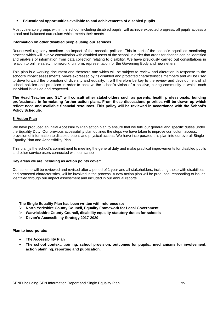## ▪ **Educational opportunities available to and achievements of disabled pupils**

Most vulnerable groups within the school, including disabled pupils, will achieve expected progress; all pupils access a broad and balanced curriculum which meets their needs.

### **Information on other disabled people using our services**

Roundswell regularly monitors the impact of the school's policies. This is part of the school's equalities monitoring process which will involve consultation with disabled users of the school, in order that areas for change can be identified and analysis of information from data collection relating to disability. We have previously carried out consultations in relation to online safety, homework, uniform, representation for the Governing Body and newsletters.

This plan is a working document and therefore one which will be subject to review and alteration in response to the school's impact assessments, views expressed by its disabled and protected characteristics members and will be used to drive forward the promotion of diversity and equality. It will therefore be key to the review and development of all school policies and practices in order to achieve the school's vision of a positive, caring community in which each individual is valued and respected**.** 

**The Head Teacher and SLT will consult other stakeholders such as parents, health professionals, building professionals in formulating further action plans. From these discussions priorities will be drawn up which reflect need and available financial resources. This policy will be reviewed in accordance with the School's Policy Schedule.**

# **5. Action Plan**

We have produced an initial Accessibility Plan action plan to ensure that we fulfil our general and specific duties under the Equality Duty. Our previous accessibility plan outlines the steps we have taken to improve curriculum access, provision of information to disabled pupils and physical access. We have incorporated this plan into our overall Single Equality Plan and Accessibility Plan.

This plan is the school's commitment to meeting the general duty and make practical improvements for disabled pupils and other service users connected with our school.

### **Key areas we are including as action points cover:**

Our scheme will be reviewed and revised after a period of 1 year and all stakeholders, including those with disabilities and protected characteristics, will be involved in the process. A new action plan will be produced, responding to issues identified through our impact assessment and included in our annual reports.

### **The Single Equality Plan has been written with reference to:**

- ➢ **North Yorkshire County Council, Equality Framework for Local Government**
- ➢ **Warwickshire County Council, disability equality statutory duties for schools**
- ➢ **Devon's Accessibility Strategy 2017-2020**

**Plan to incorporate:**

- **The Accessibility Plan**
- **The school context, training, school provision, outcomes for pupils., mechanisms for involvement, action planning, reporting and publication.**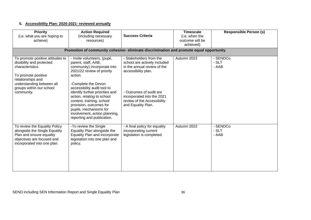# **5. Accessibility Plan: 2020-2021- reviewed annually**

| <b>Priority</b><br>(i.e. what you are hoping to<br>achieve)                                                                                                                                         | <b>Action Required</b><br>(including necessary<br>resources)                                                                                                                                                                                                                                                                                                                                        | <b>Success Criteria</b>                                                                                                                                                                                                     | <b>Timescale</b><br>(i.e. when the<br>outcome will be<br>achieved) | <b>Responsible Person (s)</b> |
|-----------------------------------------------------------------------------------------------------------------------------------------------------------------------------------------------------|-----------------------------------------------------------------------------------------------------------------------------------------------------------------------------------------------------------------------------------------------------------------------------------------------------------------------------------------------------------------------------------------------------|-----------------------------------------------------------------------------------------------------------------------------------------------------------------------------------------------------------------------------|--------------------------------------------------------------------|-------------------------------|
|                                                                                                                                                                                                     | Promotion of community cohesion-eliminate discrimination and promote equal opportunity                                                                                                                                                                                                                                                                                                              |                                                                                                                                                                                                                             |                                                                    |                               |
| To promote positive attitudes to<br>disability and protected<br>characteristics.<br>To promote positive<br>relationships and<br>understanding between all<br>groups within our school<br>community. | - Invite volunteers, (pupil,<br>parent, staff, AAB,<br>community) incorporate into<br>2021/22 review of priority<br>action.<br>-Complete the Devon<br>accessibility audit tool to<br>identify further priorities and<br>action, relating to school<br>context, training, school<br>provision, outcomes for<br>pupils, mechanisms for<br>involvement, action planning,<br>reporting and publication. | - Stakeholders from the<br>school are actively included<br>in the annual review of the<br>accessibility plan.<br>- Outcomes of audit are<br>incorporated into the 2021<br>review of the Accessibility<br>and Equality Plan. | Autumn 2022                                                        | - SENDCo<br>- SLT<br>- AAB    |
| To review the Equality Policy<br>alongside the Single Equality<br>Plan and ensure equality<br>objectives are focused and<br>incorporated into one plan.                                             | -To review the Single<br>Equality Plan alongside the<br>Equality Plan and incorporate<br>legislation into one plan and<br>policy.                                                                                                                                                                                                                                                                   | - A final policy for equality<br>incorporating current<br>legislation is completed.                                                                                                                                         | Autumn 2022                                                        | - SENDCo<br>- SLT<br>- AAB    |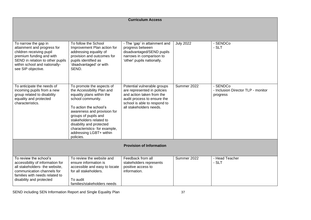# **Curriculum Access**

| To narrow the gap in<br>attainment and progress for<br>children receiving pupil<br>premium funding and with<br>SEND in relation to other pupils<br>within school and nationally-<br>see SIP objective. | To follow the School<br>Improvement Plan action for<br>addressing equality of<br>provision and outcomes for<br>pupils identified as<br>'disadvantaged' or with<br>SEND.                                                                                                                                                    | - The 'gap' in attainment and<br>progress between<br>disadvantaged/SEND pupils<br>narrows in comparison to<br>'other' pupils nationally.                                          | <b>July 2022</b> | - SENDCo<br>- SLT                                          |
|--------------------------------------------------------------------------------------------------------------------------------------------------------------------------------------------------------|----------------------------------------------------------------------------------------------------------------------------------------------------------------------------------------------------------------------------------------------------------------------------------------------------------------------------|-----------------------------------------------------------------------------------------------------------------------------------------------------------------------------------|------------------|------------------------------------------------------------|
| To anticipate the needs of<br>incoming pupils from a new<br>group related to disability<br>equality and protected<br>characteristics.                                                                  | To promote the aspects of<br>the Accessibility Plan and<br>equality plans within the<br>school community.<br>To action the school's<br>awareness and provision for<br>groups of pupils and<br>stakeholders related to<br>disability and protected<br>characteristics- for example,<br>addressing LGBT+ within<br>policies. | Potential vulnerable groups<br>are represented in policies<br>and action taken from the<br>audit process to ensure the<br>school is able to respond to<br>all stakeholders needs. | Summer 2022      | - SENDCo<br>- Inclusion Director TLP - monitor<br>progress |
|                                                                                                                                                                                                        |                                                                                                                                                                                                                                                                                                                            | <b>Provision of Information</b>                                                                                                                                                   |                  |                                                            |
| To review the school's<br>accessibility of information for<br>all stakeholders- the website,<br>communication channels for<br>families with needs related to<br>disability and protected               | To review the website and<br>ensure information is<br>accessible and easy to locate<br>for all stakeholders.<br>To audit<br>families/stakeholders needs                                                                                                                                                                    | Feedback from all<br>stakeholders represents<br>positive access to<br>information.                                                                                                | Summer 2022      | - Head Teacher<br>- SLT                                    |

SEND including SEN Information Report and Single Equality Plan 37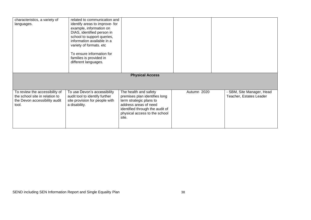| characteristics, a variety of<br>languages.                                                                | related to communication and<br>identify areas to improve- for<br>example, information on<br>DIAS, identified person in<br>school to support queries,<br>information available in a<br>variety of formats. etc<br>To ensure information for<br>families is provided in<br>different languages. |                                                                                                                                                                                         |             |                                                      |
|------------------------------------------------------------------------------------------------------------|------------------------------------------------------------------------------------------------------------------------------------------------------------------------------------------------------------------------------------------------------------------------------------------------|-----------------------------------------------------------------------------------------------------------------------------------------------------------------------------------------|-------------|------------------------------------------------------|
|                                                                                                            |                                                                                                                                                                                                                                                                                                | <b>Physical Access</b>                                                                                                                                                                  |             |                                                      |
| To review the accessibility of<br>the school site in relation to<br>the Devon accessibility audit<br>tool. | To use Devon's accessibility<br>audit tool to identify further<br>site provision for people with<br>a disability.                                                                                                                                                                              | The health and safety<br>premises plan identifies long<br>term strategic plans to<br>address areas of need<br>identified through the audit of<br>physical access to the school<br>site. | Autumn 2020 | - SBM, Site Manager, Head<br>Teacher, Estates Leader |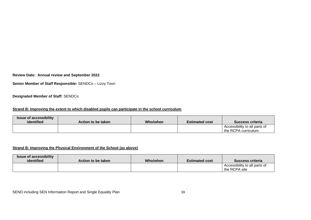**Review Date: Annual review and September 2022**

**Senior Member of Staff Responsible:** SENDCo – Lizzy Toon

**Designated Member of Staff:** SENDCo

# **Strand B: Improving the extent to which disabled pupils can participate in the school curriculum**

| <b>Issue of accessibility</b><br>identified | Action to be taken | Who/when | <b>Estimated cost</b> | Success criteria                                      |
|---------------------------------------------|--------------------|----------|-----------------------|-------------------------------------------------------|
|                                             |                    |          |                       | Accessibility to all parts of<br>the RCPA curriculum. |

# **Strand B: Improving the Physical Environment of the School (as above)**

| <b>Issue of accessibility</b><br>identified | Action to be taken | Who/when | <b>Estimated cost</b> | Success criteria                               |
|---------------------------------------------|--------------------|----------|-----------------------|------------------------------------------------|
|                                             |                    |          |                       | Accessibility to all parts of<br>the RCPA site |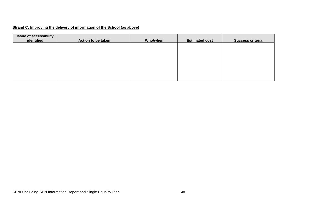# **Strand C: Improving the delivery of information of the School (as above)**

| <b>Issue of accessibility</b><br>identified | Action to be taken | Who/when | <b>Estimated cost</b> | Success criteria |
|---------------------------------------------|--------------------|----------|-----------------------|------------------|
|                                             |                    |          |                       |                  |
|                                             |                    |          |                       |                  |
|                                             |                    |          |                       |                  |
|                                             |                    |          |                       |                  |
|                                             |                    |          |                       |                  |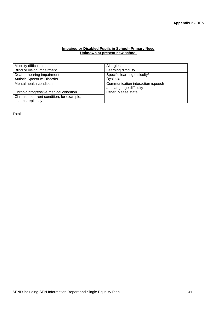## **Impaired or Disabled Pupils in School- Primary Need Unknown at present new school**

| Mobility difficulties                     | Allergies                         |
|-------------------------------------------|-----------------------------------|
| Blind or vision impairment                | Learning difficulty               |
| Deaf or hearing impairment                | Specific learning difficulty/     |
| Autistic Spectrum Disorder                | <b>Dyslexia</b>                   |
| Mental health condition                   | Communication interaction /speech |
|                                           | and language difficulty           |
| Chronic progressive medical condition     | Other, please state:              |
| Chronic recurrent condition, for example, |                                   |
| asthma, epilepsy                          |                                   |

Total: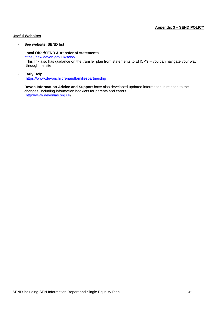# **Useful Websites**

- **See website, SEND list**
- **Local Offer/SEND & transfer of statements**  <https://new.devon.gov.uk/send/> This link also has guidance on the transfer plan from statements to EHCP's – you can navigate your way through the site
- **Early Help** [https://www.devonchildrenandfamiliespartnership](https://www.devonchildrenandfamiliespartnership/)
- **Devon Information Advice and Support** have also developed updated information in relation to the changes, including information booklets for parents and carers. <http://www.devonias.org.uk/>